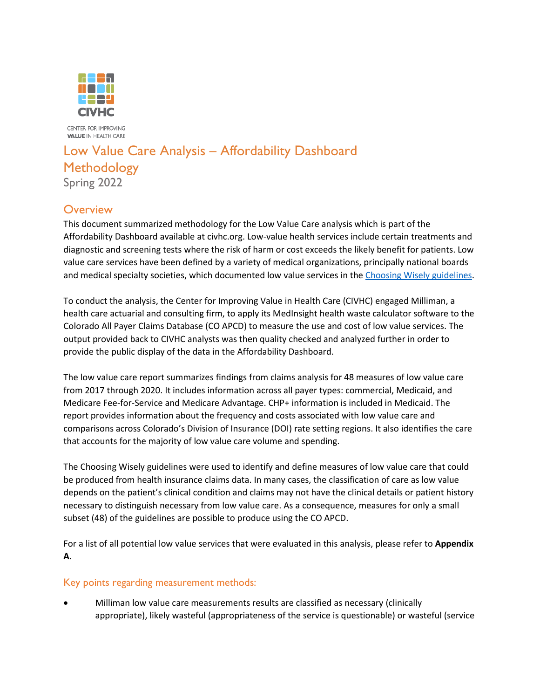

CENTER FOR IMPROVING **VALUE IN HEALTH CARE** 

## Low Value Care Analysis – Affordability Dashboard **Methodology** Spring 2022

## **Overview**

This document summarized methodology for the Low Value Care analysis which is part of the Affordability Dashboard available at civhc.org. Low-value health services include certain treatments and diagnostic and screening tests where the risk of harm or cost exceeds the likely benefit for patients. Low value care services have been defined by a variety of medical organizations, principally national boards and medical specialty societies, which documented low value services in the [Choosing Wisely](https://www.choosingwisely.org/patient-resources/) guidelines.

To conduct the analysis, the Center for Improving Value in Health Care (CIVHC) engaged Milliman, a health care actuarial and consulting firm, to apply its MedInsight health waste calculator software to the Colorado All Payer Claims Database (CO APCD) to measure the use and cost of low value services. The output provided back to CIVHC analysts was then quality checked and analyzed further in order to provide the public display of the data in the Affordability Dashboard.

The low value care report summarizes findings from claims analysis for 48 measures of low value care from 2017 through 2020. It includes information across all payer types: commercial, Medicaid, and Medicare Fee-for-Service and Medicare Advantage. CHP+ information is included in Medicaid. The report provides information about the frequency and costs associated with low value care and comparisons across Colorado's Division of Insurance (DOI) rate setting regions. It also identifies the care that accounts for the majority of low value care volume and spending.

The Choosing Wisely guidelines were used to identify and define measures of low value care that could be produced from health insurance claims data. In many cases, the classification of care as low value depends on the patient's clinical condition and claims may not have the clinical details or patient history necessary to distinguish necessary from low value care. As a consequence, measures for only a small subset (48) of the guidelines are possible to produce using the CO APCD.

For a list of all potential low value services that were evaluated in this analysis, please refer to **Appendix A**.

#### Key points regarding measurement methods:

• Milliman low value care measurements results are classified as necessary (clinically appropriate), likely wasteful (appropriateness of the service is questionable) or wasteful (service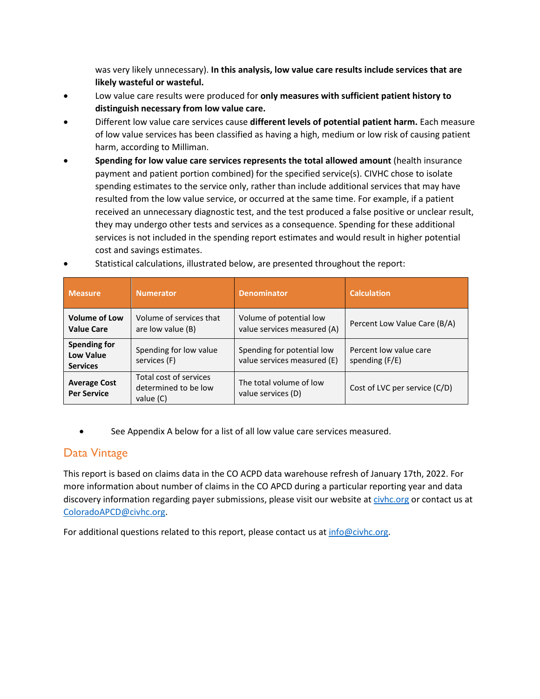was very likely unnecessary). **In this analysis, low value care results include services that are likely wasteful or wasteful.**

- Low value care results were produced for **only measures with sufficient patient history to distinguish necessary from low value care.**
- Different low value care services cause **different levels of potential patient harm.** Each measure of low value services has been classified as having a high, medium or low risk of causing patient harm, according to Milliman.
- **Spending for low value care services represents the total allowed amount** (health insurance payment and patient portion combined) for the specified service(s). CIVHC chose to isolate spending estimates to the service only, rather than include additional services that may have resulted from the low value service, or occurred at the same time. For example, if a patient received an unnecessary diagnostic test, and the test produced a false positive or unclear result, they may undergo other tests and services as a consequence. Spending for these additional services is not included in the spending report estimates and would result in higher potential cost and savings estimates.

| <b>Measure</b>                                             | <b>Numerator</b>                                            | <b>Denominator</b>                                        | <b>Calculation</b>                       |
|------------------------------------------------------------|-------------------------------------------------------------|-----------------------------------------------------------|------------------------------------------|
| <b>Volume of Low</b><br><b>Value Care</b>                  | Volume of services that<br>are low value (B)                | Volume of potential low<br>value services measured (A)    | Percent Low Value Care (B/A)             |
| <b>Spending for</b><br><b>Low Value</b><br><b>Services</b> | Spending for low value<br>services (F)                      | Spending for potential low<br>value services measured (E) | Percent low value care<br>spending (F/E) |
| <b>Average Cost</b><br><b>Per Service</b>                  | Total cost of services<br>determined to be low<br>value (C) | The total volume of low<br>value services (D)             | Cost of LVC per service (C/D)            |

• Statistical calculations, illustrated below, are presented throughout the report:

See Appendix A below for a list of all low value care services measured.

### Data Vintage

This report is based on claims data in the CO ACPD data warehouse refresh of January 17th, 2022. For more information about number of claims in the CO APCD during a particular reporting year and data discovery information regarding payer submissions, please visit our website a[t civhc.org](https://www.civhc.org/) or contact us at [ColoradoAPCD@civhc.org.](mailto:ColoradoAPCD@civhc.org)

For additional questions related to this report, please contact us a[t info@civhc.org.](mailto:info@civhc.org)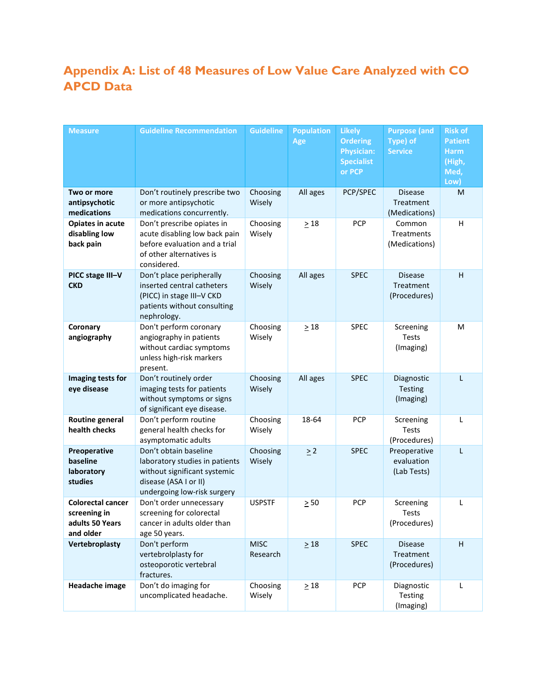# **Appendix A: List of 48 Measures of Low Value Care Analyzed with CO APCD Data**

| <b>Measure</b>                                                           | <b>Guideline Recommendation</b>                                                                                                                 | <b>Guideline</b>        | <b>Population</b><br>Age | <b>Likely</b><br><b>Ordering</b><br><b>Physician:</b><br><b>Specialist</b><br>or PCP | <b>Purpose (and</b><br>Type) of<br><b>Service</b> | <b>Risk of</b><br><b>Patient</b><br><b>Harm</b><br>(High,<br>Med,<br>Low) |
|--------------------------------------------------------------------------|-------------------------------------------------------------------------------------------------------------------------------------------------|-------------------------|--------------------------|--------------------------------------------------------------------------------------|---------------------------------------------------|---------------------------------------------------------------------------|
| Two or more<br>antipsychotic<br>medications                              | Don't routinely prescribe two<br>or more antipsychotic<br>medications concurrently.                                                             | Choosing<br>Wisely      | All ages                 | PCP/SPEC                                                                             | <b>Disease</b><br>Treatment<br>(Medications)      | M                                                                         |
| Opiates in acute<br>disabling low<br>back pain                           | Don't prescribe opiates in<br>acute disabling low back pain<br>before evaluation and a trial<br>of other alternatives is<br>considered.         | Choosing<br>Wisely      | $\geq 18$                | <b>PCP</b>                                                                           | Common<br><b>Treatments</b><br>(Medications)      | H                                                                         |
| PICC stage III-V<br><b>CKD</b>                                           | Don't place peripherally<br>inserted central catheters<br>(PICC) in stage III-V CKD<br>patients without consulting<br>nephrology.               | Choosing<br>Wisely      | All ages                 | <b>SPEC</b>                                                                          | <b>Disease</b><br>Treatment<br>(Procedures)       | H                                                                         |
| Coronary<br>angiography                                                  | Don't perform coronary<br>angiography in patients<br>without cardiac symptoms<br>unless high-risk markers<br>present.                           | Choosing<br>Wisely      | $\geq 18$                | <b>SPEC</b>                                                                          | Screening<br><b>Tests</b><br>(Imaging)            | M                                                                         |
| Imaging tests for<br>eye disease                                         | Don't routinely order<br>imaging tests for patients<br>without symptoms or signs<br>of significant eye disease.                                 | Choosing<br>Wisely      | All ages                 | <b>SPEC</b>                                                                          | Diagnostic<br>Testing<br>(Imaging)                | L                                                                         |
| <b>Routine general</b><br>health checks                                  | Don't perform routine<br>general health checks for<br>asymptomatic adults                                                                       | Choosing<br>Wisely      | 18-64                    | <b>PCP</b>                                                                           | Screening<br>Tests<br>(Procedures)                | L                                                                         |
| Preoperative<br>baseline<br>laboratory<br>studies                        | Don't obtain baseline<br>laboratory studies in patients<br>without significant systemic<br>disease (ASA I or II)<br>undergoing low-risk surgery | Choosing<br>Wisely      | $\geq$ 2                 | <b>SPEC</b>                                                                          | Preoperative<br>evaluation<br>(Lab Tests)         | L                                                                         |
| <b>Colorectal cancer</b><br>screening in<br>adults 50 Years<br>and older | Don't order unnecessary<br>screening for colorectal<br>cancer in adults older than<br>age 50 years.                                             | <b>USPSTF</b>           | $\geq 50$                | <b>PCP</b>                                                                           | Screening<br><b>Tests</b><br>(Procedures)         | L                                                                         |
| Vertebroplasty                                                           | Don't perform<br>vertebrolplasty for<br>osteoporotic vertebral<br>fractures.                                                                    | <b>MISC</b><br>Research | $\geq 18$                | <b>SPEC</b>                                                                          | <b>Disease</b><br>Treatment<br>(Procedures)       | $\mathsf H$                                                               |
| Headache image                                                           | Don't do imaging for<br>uncomplicated headache.                                                                                                 | Choosing<br>Wisely      | $\geq 18$                | <b>PCP</b>                                                                           | Diagnostic<br>Testing<br>(Imaging)                | Г                                                                         |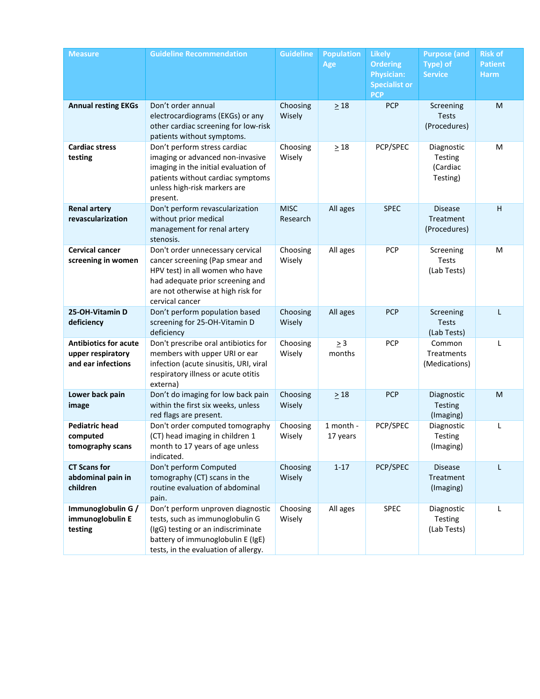| <b>Measure</b>                                                          | <b>Guideline Recommendation</b>                                                                                                                                                                     | <b>Guideline</b>        | <b>Population</b><br>Age | <b>Likely</b><br><b>Ordering</b><br><b>Physician:</b><br><b>Specialist or</b><br><b>PCP</b> | <b>Purpose (and</b><br>Type) of<br><b>Service</b> | <b>Risk of</b><br><b>Patient</b><br><b>Harm</b> |
|-------------------------------------------------------------------------|-----------------------------------------------------------------------------------------------------------------------------------------------------------------------------------------------------|-------------------------|--------------------------|---------------------------------------------------------------------------------------------|---------------------------------------------------|-------------------------------------------------|
| <b>Annual resting EKGs</b>                                              | Don't order annual<br>electrocardiograms (EKGs) or any<br>other cardiac screening for low-risk<br>patients without symptoms.                                                                        | Choosing<br>Wisely      | $\geq 18$                | <b>PCP</b>                                                                                  | Screening<br><b>Tests</b><br>(Procedures)         | M                                               |
| <b>Cardiac stress</b><br>testing                                        | Don't perform stress cardiac<br>imaging or advanced non-invasive<br>imaging in the initial evaluation of<br>patients without cardiac symptoms<br>unless high-risk markers are<br>present.           | Choosing<br>Wisely      | $\geq 18$                | PCP/SPEC                                                                                    | Diagnostic<br>Testing<br>(Cardiac<br>Testing)     | M                                               |
| <b>Renal artery</b><br>revascularization                                | Don't perform revascularization<br>without prior medical<br>management for renal artery<br>stenosis.                                                                                                | <b>MISC</b><br>Research | All ages                 | <b>SPEC</b>                                                                                 | <b>Disease</b><br>Treatment<br>(Procedures)       | H                                               |
| <b>Cervical cancer</b><br>screening in women                            | Don't order unnecessary cervical<br>cancer screening (Pap smear and<br>HPV test) in all women who have<br>had adequate prior screening and<br>are not otherwise at high risk for<br>cervical cancer | Choosing<br>Wisely      | All ages                 | <b>PCP</b>                                                                                  | Screening<br><b>Tests</b><br>(Lab Tests)          | M                                               |
| 25-OH-Vitamin D<br>deficiency                                           | Don't perform population based<br>screening for 25-OH-Vitamin D<br>deficiency                                                                                                                       | Choosing<br>Wisely      | All ages                 | <b>PCP</b>                                                                                  | Screening<br><b>Tests</b><br>(Lab Tests)          | L                                               |
| <b>Antibiotics for acute</b><br>upper respiratory<br>and ear infections | Don't prescribe oral antibiotics for<br>members with upper URI or ear<br>infection (acute sinusitis, URI, viral<br>respiratory illness or acute otitis<br>externa)                                  | Choosing<br>Wisely      | $\geq 3$<br>months       | <b>PCP</b>                                                                                  | Common<br>Treatments<br>(Medications)             | L                                               |
| Lower back pain<br>image                                                | Don't do imaging for low back pain<br>within the first six weeks, unless<br>red flags are present.                                                                                                  | Choosing<br>Wisely      | $\geq 18$                | <b>PCP</b>                                                                                  | Diagnostic<br><b>Testing</b><br>(Imaging)         | M                                               |
| <b>Pediatric head</b><br>computed<br>tomography scans                   | Don't order computed tomography<br>(CT) head imaging in children 1<br>month to 17 years of age unless<br>indicated.                                                                                 | Choosing<br>Wisely      | 1 month -<br>17 years    | PCP/SPEC                                                                                    | Diagnostic<br><b>Testing</b><br>(Imaging)         |                                                 |
| <b>CT Scans for</b><br>abdominal pain in<br>children                    | Don't perform Computed<br>tomography (CT) scans in the<br>routine evaluation of abdominal<br>pain.                                                                                                  | Choosing<br>Wisely      | $1 - 17$                 | PCP/SPEC                                                                                    | Disease<br>Treatment<br>(Imaging)                 | L                                               |
| Immunoglobulin G /<br>immunoglobulin E<br>testing                       | Don't perform unproven diagnostic<br>tests, such as immunoglobulin G<br>(IgG) testing or an indiscriminate<br>battery of immunoglobulin E (IgE)<br>tests, in the evaluation of allergy.             | Choosing<br>Wisely      | All ages                 | SPEC                                                                                        | Diagnostic<br>Testing<br>(Lab Tests)              | L                                               |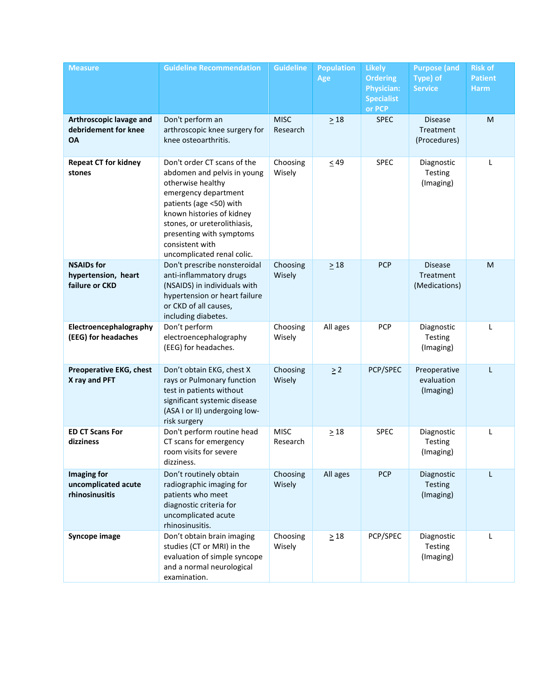| <b>Measure</b>                                               | <b>Guideline Recommendation</b>                                                                                                                                                                                                                                              | <b>Guideline</b>        | <b>Population</b><br>Age | <b>Likely</b><br><b>Ordering</b><br><b>Physician:</b><br><b>Specialist</b><br>or PCP | <b>Purpose (and</b><br>Type) of<br><b>Service</b> | <b>Risk of</b><br><b>Patient</b><br><b>Harm</b> |
|--------------------------------------------------------------|------------------------------------------------------------------------------------------------------------------------------------------------------------------------------------------------------------------------------------------------------------------------------|-------------------------|--------------------------|--------------------------------------------------------------------------------------|---------------------------------------------------|-------------------------------------------------|
| Arthroscopic lavage and<br>debridement for knee<br><b>OA</b> | Don't perform an<br>arthroscopic knee surgery for<br>knee osteoarthritis.                                                                                                                                                                                                    | <b>MISC</b><br>Research | $\geq 18$                | <b>SPEC</b>                                                                          | <b>Disease</b><br>Treatment<br>(Procedures)       | M                                               |
| <b>Repeat CT for kidney</b><br>stones                        | Don't order CT scans of the<br>abdomen and pelvis in young<br>otherwise healthy<br>emergency department<br>patients (age <50) with<br>known histories of kidney<br>stones, or ureterolithiasis,<br>presenting with symptoms<br>consistent with<br>uncomplicated renal colic. | Choosing<br>Wisely      | $\leq 49$                | <b>SPEC</b>                                                                          | Diagnostic<br>Testing<br>(Imaging)                | L                                               |
| <b>NSAIDs for</b><br>hypertension, heart<br>failure or CKD   | Don't prescribe nonsteroidal<br>anti-inflammatory drugs<br>(NSAIDS) in individuals with<br>hypertension or heart failure<br>or CKD of all causes,<br>including diabetes.                                                                                                     | Choosing<br>Wisely      | $\geq 18$                | <b>PCP</b>                                                                           | <b>Disease</b><br>Treatment<br>(Medications)      | M                                               |
| Electroencephalography<br>(EEG) for headaches                | Don't perform<br>electroencephalography<br>(EEG) for headaches.                                                                                                                                                                                                              | Choosing<br>Wisely      | All ages                 | PCP                                                                                  | Diagnostic<br>Testing<br>(Imaging)                | L                                               |
| <b>Preoperative EKG, chest</b><br>X ray and PFT              | Don't obtain EKG, chest X<br>rays or Pulmonary function<br>test in patients without<br>significant systemic disease<br>(ASA I or II) undergoing low-<br>risk surgery                                                                                                         | Choosing<br>Wisely      | $\geq$ 2                 | PCP/SPEC                                                                             | Preoperative<br>evaluation<br>(Imaging)           | L                                               |
| <b>ED CT Scans For</b><br>dizziness                          | Don't perform routine head<br>CT scans for emergency<br>room visits for severe<br>dizziness.                                                                                                                                                                                 | <b>MISC</b><br>Research | $\geq 18$                | <b>SPEC</b>                                                                          | Diagnostic<br>Testing<br>(Imaging)                | L                                               |
| Imaging for<br>uncomplicated acute<br>rhinosinusitis         | Don't routinely obtain<br>radiographic imaging for<br>patients who meet<br>diagnostic criteria for<br>uncomplicated acute<br>rhinosinusitis.                                                                                                                                 | Choosing<br>Wisely      | All ages                 | <b>PCP</b>                                                                           | Diagnostic<br>Testing<br>(Imaging)                | L                                               |
| Syncope image                                                | Don't obtain brain imaging<br>studies (CT or MRI) in the<br>evaluation of simple syncope<br>and a normal neurological<br>examination.                                                                                                                                        | Choosing<br>Wisely      | $\geq 18$                | PCP/SPEC                                                                             | Diagnostic<br>Testing<br>(Imaging)                | L                                               |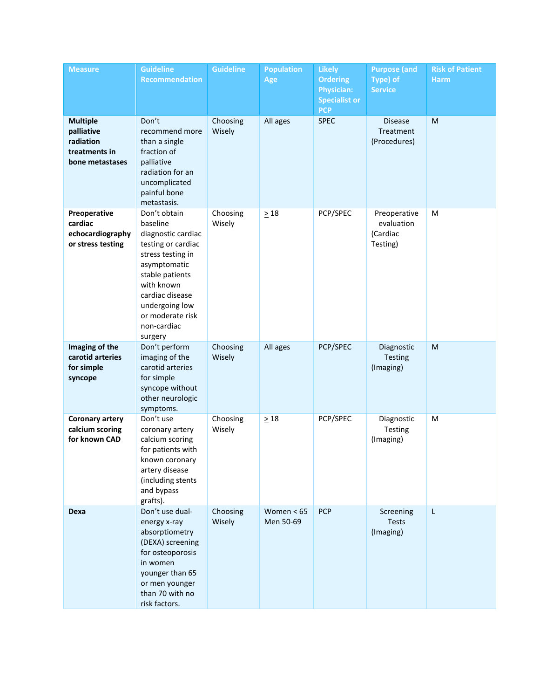| <b>Measure</b>                                                                 | <b>Guideline</b><br><b>Recommendation</b>                                                                                                                                                                                     | <b>Guideline</b>   | <b>Population</b><br>Age  | <b>Likely</b><br><b>Ordering</b><br><b>Physician:</b><br><b>Specialist or</b><br><b>PCP</b> | <b>Purpose (and</b><br>Type) of<br><b>Service</b>  | <b>Risk of Patient</b><br><b>Harm</b> |
|--------------------------------------------------------------------------------|-------------------------------------------------------------------------------------------------------------------------------------------------------------------------------------------------------------------------------|--------------------|---------------------------|---------------------------------------------------------------------------------------------|----------------------------------------------------|---------------------------------------|
| <b>Multiple</b><br>palliative<br>radiation<br>treatments in<br>bone metastases | Don't<br>recommend more<br>than a single<br>fraction of<br>palliative<br>radiation for an<br>uncomplicated<br>painful bone<br>metastasis.                                                                                     | Choosing<br>Wisely | All ages                  | <b>SPEC</b>                                                                                 | <b>Disease</b><br>Treatment<br>(Procedures)        | M                                     |
| Preoperative<br>cardiac<br>echocardiography<br>or stress testing               | Don't obtain<br>baseline<br>diagnostic cardiac<br>testing or cardiac<br>stress testing in<br>asymptomatic<br>stable patients<br>with known<br>cardiac disease<br>undergoing low<br>or moderate risk<br>non-cardiac<br>surgery | Choosing<br>Wisely | $\geq 18$                 | PCP/SPEC                                                                                    | Preoperative<br>evaluation<br>(Cardiac<br>Testing) | M                                     |
| Imaging of the<br>carotid arteries<br>for simple<br>syncope                    | Don't perform<br>imaging of the<br>carotid arteries<br>for simple<br>syncope without<br>other neurologic<br>symptoms.                                                                                                         | Choosing<br>Wisely | All ages                  | PCP/SPEC                                                                                    | Diagnostic<br><b>Testing</b><br>(Imaging)          | ${\sf M}$                             |
| <b>Coronary artery</b><br>calcium scoring<br>for known CAD                     | Don't use<br>coronary artery<br>calcium scoring<br>for patients with<br>known coronary<br>artery disease<br>(including stents<br>and bypass<br>grafts).                                                                       | Choosing<br>Wisely | $\geq 18$                 | PCP/SPEC                                                                                    | Diagnostic<br>Testing<br>(Imaging)                 | M                                     |
| Dexa                                                                           | Don't use dual-<br>energy x-ray<br>absorptiometry<br>(DEXA) screening<br>for osteoporosis<br>in women<br>younger than 65<br>or men younger<br>than 70 with no<br>risk factors.                                                | Choosing<br>Wisely | Women $< 65$<br>Men 50-69 | <b>PCP</b>                                                                                  | Screening<br><b>Tests</b><br>(Imaging)             | L                                     |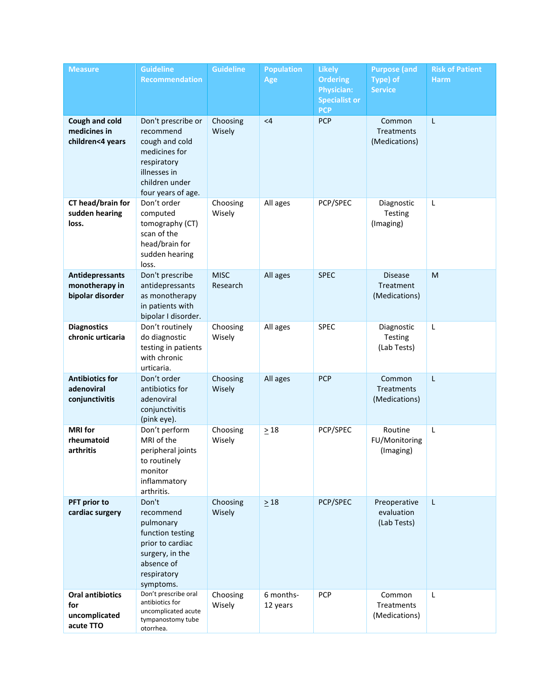| <b>Measure</b>                                               | <b>Guideline</b><br><b>Recommendation</b>                                                                                                 | <b>Guideline</b>        | <b>Population</b><br>Age | <b>Likely</b><br><b>Ordering</b><br><b>Physician:</b><br><b>Specialist or</b><br><b>PCP</b> | <b>Purpose (and</b><br>Type) of<br><b>Service</b> | <b>Risk of Patient</b><br><b>Harm</b> |
|--------------------------------------------------------------|-------------------------------------------------------------------------------------------------------------------------------------------|-------------------------|--------------------------|---------------------------------------------------------------------------------------------|---------------------------------------------------|---------------------------------------|
| Cough and cold<br>medicines in<br>children<4 years           | Don't prescribe or<br>recommend<br>cough and cold<br>medicines for<br>respiratory<br>illnesses in<br>children under<br>four years of age. | Choosing<br>Wisely      | $\leq 4$                 | <b>PCP</b>                                                                                  | Common<br><b>Treatments</b><br>(Medications)      | L                                     |
| CT head/brain for<br>sudden hearing<br>loss.                 | Don't order<br>computed<br>tomography (CT)<br>scan of the<br>head/brain for<br>sudden hearing<br>loss.                                    | Choosing<br>Wisely      | All ages                 | PCP/SPEC                                                                                    | Diagnostic<br>Testing<br>(Imaging)                | L                                     |
| <b>Antidepressants</b><br>monotherapy in<br>bipolar disorder | Don't prescribe<br>antidepressants<br>as monotherapy<br>in patients with<br>bipolar I disorder.                                           | <b>MISC</b><br>Research | All ages                 | <b>SPEC</b>                                                                                 | <b>Disease</b><br>Treatment<br>(Medications)      | M                                     |
| <b>Diagnostics</b><br>chronic urticaria                      | Don't routinely<br>do diagnostic<br>testing in patients<br>with chronic<br>urticaria.                                                     | Choosing<br>Wisely      | All ages                 | <b>SPEC</b>                                                                                 | Diagnostic<br>Testing<br>(Lab Tests)              | L                                     |
| <b>Antibiotics for</b><br>adenoviral<br>conjunctivitis       | Don't order<br>antibiotics for<br>adenoviral<br>conjunctivitis<br>(pink eye).                                                             | Choosing<br>Wisely      | All ages                 | <b>PCP</b>                                                                                  | Common<br>Treatments<br>(Medications)             | L                                     |
| <b>MRI</b> for<br>rheumatoid<br>arthritis                    | Don't perform<br>MRI of the<br>peripheral joints<br>to routinely<br>monitor<br>inflammatory<br>arthritis.                                 | Choosing<br>Wisely      | $\geq 18$                | PCP/SPEC                                                                                    | Routine<br>FU/Monitoring<br>(Imaging)             | L                                     |
| PFT prior to<br>cardiac surgery                              | Don't<br>recommend<br>pulmonary<br>function testing<br>prior to cardiac<br>surgery, in the<br>absence of<br>respiratory<br>symptoms.      | Choosing<br>Wisely      | $\geq 18$                | PCP/SPEC                                                                                    | Preoperative<br>evaluation<br>(Lab Tests)         | L                                     |
| <b>Oral antibiotics</b><br>for<br>uncomplicated<br>acute TTO | Don't prescribe oral<br>antibiotics for<br>uncomplicated acute<br>tympanostomy tube<br>otorrhea.                                          | Choosing<br>Wisely      | 6 months-<br>12 years    | <b>PCP</b>                                                                                  | Common<br>Treatments<br>(Medications)             | L                                     |